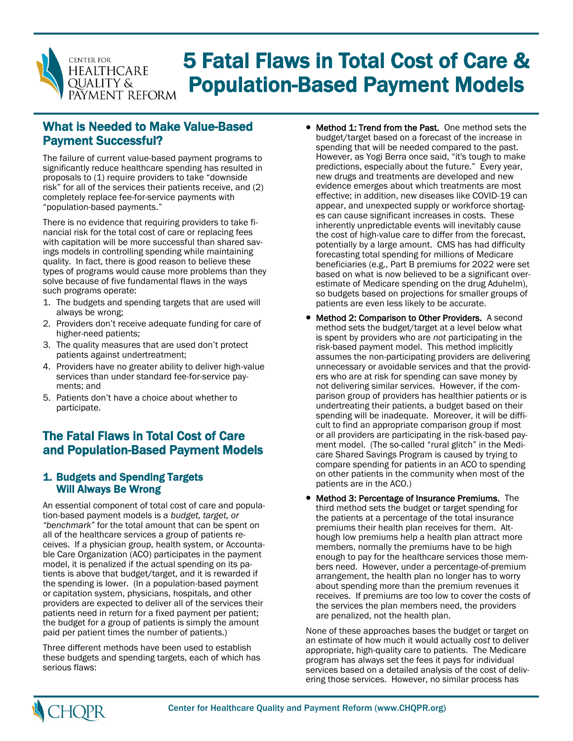

# 5 Fatal Flaws in Total Cost of Care & Population-Based Payment Models

## What is Needed to Make Value-Based Payment Successful?

The failure of current value-based payment programs to significantly reduce healthcare spending has resulted in proposals to (1) require providers to take "downside risk" for all of the services their patients receive, and (2) completely replace fee-for-service payments with "population-based payments."

There is no evidence that requiring providers to take financial risk for the total cost of care or replacing fees with capitation will be more successful than shared savings models in controlling spending while maintaining quality. In fact, there is good reason to believe these types of programs would cause more problems than they solve because of five fundamental flaws in the ways such programs operate:

- 1. The budgets and spending targets that are used will always be wrong;
- 2. Providers don't receive adequate funding for care of higher-need patients;
- 3. The quality measures that are used don't protect patients against undertreatment;
- 4. Providers have no greater ability to deliver high-value services than under standard fee-for-service payments; and
- 5. Patients don't have a choice about whether to participate.

## The Fatal Flaws in Total Cost of Care and Population-Based Payment Models

### 1. Budgets and Spending Targets Will Always Be Wrong

An essential component of total cost of care and population-based payment models is a *budget, target, or "benchmark"* for the total amount that can be spent on all of the healthcare services a group of patients receives. If a physician group, health system, or Accountable Care Organization (ACO) participates in the payment model, it is penalized if the actual spending on its patients is above that budget/target, and it is rewarded if the spending is lower. (In a population-based payment or capitation system, physicians, hospitals, and other providers are expected to deliver all of the services their patients need in return for a fixed payment per patient; the budget for a group of patients is simply the amount paid per patient times the number of patients.)

Three different methods have been used to establish these budgets and spending targets, each of which has serious flaws:

- Method 1: Trend from the Past. One method sets the budget/target based on a forecast of the increase in spending that will be needed compared to the past. However, as Yogi Berra once said, "it's tough to make predictions, especially about the future." Every year, new drugs and treatments are developed and new evidence emerges about which treatments are most effective; in addition, new diseases like COVID-19 can appear, and unexpected supply or workforce shortages can cause significant increases in costs. These inherently unpredictable events will inevitably cause the cost of high-value care to differ from the forecast, potentially by a large amount. CMS has had difficulty forecasting total spending for millions of Medicare beneficiaries (e.g., Part B premiums for 2022 were set based on what is now believed to be a significant overestimate of Medicare spending on the drug Aduhelm), so budgets based on projections for smaller groups of patients are even less likely to be accurate.
- Method 2: Comparison to Other Providers. A second method sets the budget/target at a level below what is spent by providers who are *not* participating in the risk-based payment model. This method implicitly assumes the non-participating providers are delivering unnecessary or avoidable services and that the providers who are at risk for spending can save money by not delivering similar services. However, if the comparison group of providers has healthier patients or is undertreating their patients, a budget based on their spending will be inadequate. Moreover, it will be difficult to find an appropriate comparison group if most or all providers are participating in the risk-based payment model. (The so-called "rural glitch" in the Medicare Shared Savings Program is caused by trying to compare spending for patients in an ACO to spending on other patients in the community when most of the patients are in the ACO.)
- Method 3: Percentage of Insurance Premiums. The third method sets the budget or target spending for the patients at a percentage of the total insurance premiums their health plan receives for them. Although low premiums help a health plan attract more members, normally the premiums have to be high enough to pay for the healthcare services those members need. However, under a percentage-of-premium arrangement, the health plan no longer has to worry about spending more than the premium revenues it receives. If premiums are too low to cover the costs of the services the plan members need, the providers are penalized, not the health plan.

None of these approaches bases the budget or target on an estimate of how much it would actually *cost* to deliver appropriate, high-quality care to patients. The Medicare program has always set the fees it pays for individual services based on a detailed analysis of the cost of delivering those services. However, no similar process has

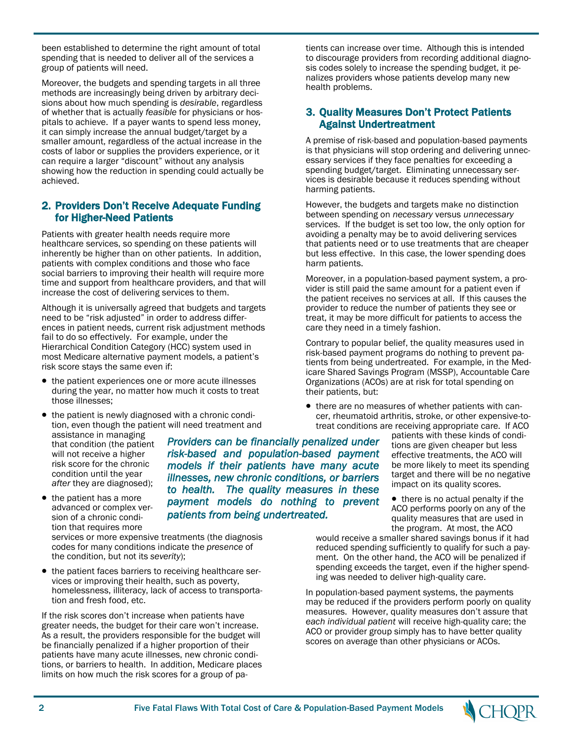been established to determine the right amount of total spending that is needed to deliver all of the services a group of patients will need.

Moreover, the budgets and spending targets in all three methods are increasingly being driven by arbitrary decisions about how much spending is *desirable*, regardless of whether that is actually *feasible* for physicians or hospitals to achieve. If a payer wants to spend less money, it can simply increase the annual budget/target by a smaller amount, regardless of the actual increase in the costs of labor or supplies the providers experience, or it can require a larger "discount" without any analysis showing how the reduction in spending could actually be achieved.

#### 2. Providers Don't Receive Adequate Funding for Higher-Need Patients

Patients with greater health needs require more healthcare services, so spending on these patients will inherently be higher than on other patients. In addition, patients with complex conditions and those who face social barriers to improving their health will require more time and support from healthcare providers, and that will increase the cost of delivering services to them.

Although it is universally agreed that budgets and targets need to be "risk adjusted" in order to address differences in patient needs, current risk adjustment methods fail to do so effectively. For example, under the Hierarchical Condition Category (HCC) system used in most Medicare alternative payment models, a patient's risk score stays the same even if:

- the patient experiences one or more acute illnesses during the year, no matter how much it costs to treat those illnesses;
- the patient is newly diagnosed with a chronic condition, even though the patient will need treatment and

assistance in managing that condition (the patient will not receive a higher risk score for the chronic condition until the year *after* they are diagnosed);

• the patient has a more advanced or complex version of a chronic condition that requires more

services or more expensive treatments (the diagnosis codes for many conditions indicate the *presence* of the condition, but not its *severity*);

• the patient faces barriers to receiving healthcare services or improving their health, such as poverty, homelessness, illiteracy, lack of access to transportation and fresh food, etc.

If the risk scores don't increase when patients have greater needs, the budget for their care won't increase. As a result, the providers responsible for the budget will be financially penalized if a higher proportion of their patients have many acute illnesses, new chronic conditions, or barriers to health. In addition, Medicare places limits on how much the risk scores for a group of pa-

*Providers can be financially penalized under risk-based and population-based payment models if their patients have many acute illnesses, new chronic conditions, or barriers to health. The quality measures in these payment models do nothing to prevent patients from being undertreated.* 

tients can increase over time. Although this is intended to discourage providers from recording additional diagnosis codes solely to increase the spending budget, it penalizes providers whose patients develop many new health problems.

#### 3. Quality Measures Don't Protect Patients Against Undertreatment

A premise of risk-based and population-based payments is that physicians will stop ordering and delivering unnecessary services if they face penalties for exceeding a spending budget/target. Eliminating unnecessary services is desirable because it reduces spending without harming patients.

However, the budgets and targets make no distinction between spending on *necessary* versus *unnecessary* services. If the budget is set too low, the only option for avoiding a penalty may be to avoid delivering services that patients need or to use treatments that are cheaper but less effective. In this case, the lower spending does harm patients.

Moreover, in a population-based payment system, a provider is still paid the same amount for a patient even if the patient receives no services at all. If this causes the provider to reduce the number of patients they see or treat, it may be more difficult for patients to access the care they need in a timely fashion.

Contrary to popular belief, the quality measures used in risk-based payment programs do nothing to prevent patients from being undertreated. For example, in the Medicare Shared Savings Program (MSSP), Accountable Care Organizations (ACOs) are at risk for total spending on their patients, but:

• there are no measures of whether patients with cancer, rheumatoid arthritis, stroke, or other expensive-totreat conditions are receiving appropriate care. If ACO

> patients with these kinds of conditions are given cheaper but less effective treatments, the ACO will be more likely to meet its spending target and there will be no negative impact on its quality scores.

• there is no actual penalty if the ACO performs poorly on any of the quality measures that are used in the program. At most, the ACO

would receive a smaller shared savings bonus if it had reduced spending sufficiently to qualify for such a payment. On the other hand, the ACO will be penalized if spending exceeds the target, even if the higher spending was needed to deliver high-quality care.

In population-based payment systems, the payments may be reduced if the providers perform poorly on quality measures. However, quality measures don't assure that *each individual patient* will receive high-quality care; the ACO or provider group simply has to have better quality scores on average than other physicians or ACOs.

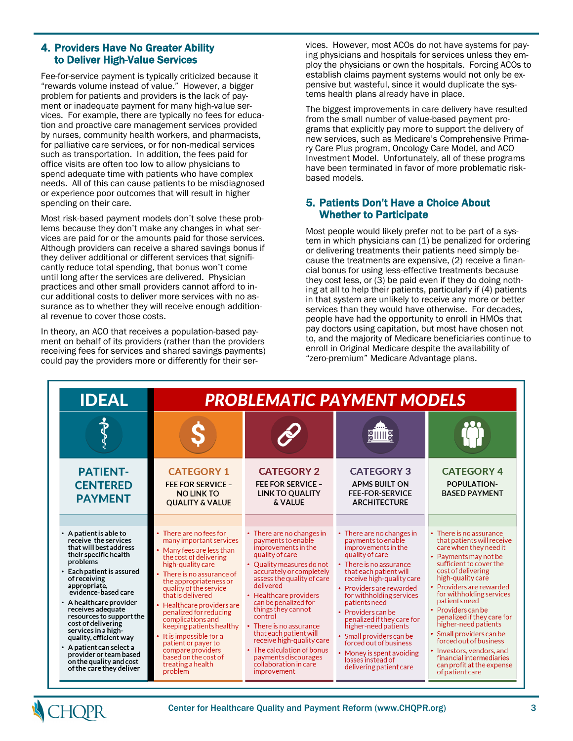#### 4. Providers Have No Greater Ability to Deliver High-Value Services

Fee-for-service payment is typically criticized because it "rewards volume instead of value." However, a bigger problem for patients and providers is the lack of payment or inadequate payment for many high-value services. For example, there are typically no fees for education and proactive care management services provided by nurses, community health workers, and pharmacists, for palliative care services, or for non-medical services such as transportation. In addition, the fees paid for office visits are often too low to allow physicians to spend adequate time with patients who have complex needs. All of this can cause patients to be misdiagnosed or experience poor outcomes that will result in higher spending on their care.

Most risk-based payment models don't solve these problems because they don't make any changes in what services are paid for or the amounts paid for those services. Although providers can receive a shared savings bonus if they deliver additional or different services that significantly reduce total spending, that bonus won't come until long after the services are delivered. Physician practices and other small providers cannot afford to incur additional costs to deliver more services with no assurance as to whether they will receive enough additional revenue to cover those costs.

In theory, an ACO that receives a population-based payment on behalf of its providers (rather than the providers receiving fees for services and shared savings payments) could pay the providers more or differently for their services. However, most ACOs do not have systems for paying physicians and hospitals for services unless they employ the physicians or own the hospitals. Forcing ACOs to establish claims payment systems would not only be expensive but wasteful, since it would duplicate the systems health plans already have in place.

The biggest improvements in care delivery have resulted from the small number of value-based payment programs that explicitly pay more to support the delivery of new services, such as Medicare's Comprehensive Primary Care Plus program, Oncology Care Model, and ACO Investment Model. Unfortunately, all of these programs have been terminated in favor of more problematic riskbased models.

#### 5. Patients Don't Have a Choice About Whether to Participate

Most people would likely prefer not to be part of a system in which physicians can (1) be penalized for ordering or delivering treatments their patients need simply because the treatments are expensive, (2) receive a financial bonus for using less-effective treatments because they cost less, or (3) be paid even if they do doing nothing at all to help their patients, particularly if (4) patients in that system are unlikely to receive any more or better services than they would have otherwise. For decades, people have had the opportunity to enroll in HMOs that pay doctors using capitation, but most have chosen not to, and the majority of Medicare beneficiaries continue to enroll in Original Medicare despite the availability of "zero-premium" Medicare Advantage plans.

| <b>IDEAL</b>                                                                                                                                                                                                                                                                                                                                                                                                                                                                              | <b>PROBLEMATIC PAYMENT MODELS</b>                                                                                                                                                                                                                                                                                                                                                                                                                                                        |                                                                                                                                                                                                                                                                                                                                                                                                                                                                              |                                                                                                                                                                                                                                                                                                                                                                                                                                                                           |                                                                                                                                                                                                                                                                                                                                                                                                                                                                                                    |
|-------------------------------------------------------------------------------------------------------------------------------------------------------------------------------------------------------------------------------------------------------------------------------------------------------------------------------------------------------------------------------------------------------------------------------------------------------------------------------------------|------------------------------------------------------------------------------------------------------------------------------------------------------------------------------------------------------------------------------------------------------------------------------------------------------------------------------------------------------------------------------------------------------------------------------------------------------------------------------------------|------------------------------------------------------------------------------------------------------------------------------------------------------------------------------------------------------------------------------------------------------------------------------------------------------------------------------------------------------------------------------------------------------------------------------------------------------------------------------|---------------------------------------------------------------------------------------------------------------------------------------------------------------------------------------------------------------------------------------------------------------------------------------------------------------------------------------------------------------------------------------------------------------------------------------------------------------------------|----------------------------------------------------------------------------------------------------------------------------------------------------------------------------------------------------------------------------------------------------------------------------------------------------------------------------------------------------------------------------------------------------------------------------------------------------------------------------------------------------|
|                                                                                                                                                                                                                                                                                                                                                                                                                                                                                           |                                                                                                                                                                                                                                                                                                                                                                                                                                                                                          |                                                                                                                                                                                                                                                                                                                                                                                                                                                                              | ill⊪                                                                                                                                                                                                                                                                                                                                                                                                                                                                      |                                                                                                                                                                                                                                                                                                                                                                                                                                                                                                    |
| <b>PATIENT-</b><br><b>CENTERED</b><br><b>PAYMENT</b>                                                                                                                                                                                                                                                                                                                                                                                                                                      | <b>CATEGORY 1</b><br><b>FEE FOR SERVICE -</b><br><b>NO LINK TO</b><br><b>QUALITY &amp; VALUE</b>                                                                                                                                                                                                                                                                                                                                                                                         | <b>CATEGORY 2</b><br><b>FEE FOR SERVICE -</b><br><b>LINK TO QUALITY</b><br>& VALUE                                                                                                                                                                                                                                                                                                                                                                                           | <b>CATEGORY 3</b><br><b>APMS BUILT ON</b><br><b>FEE-FOR-SERVICE</b><br><b>ARCHITECTURE</b>                                                                                                                                                                                                                                                                                                                                                                                | <b>CATEGORY 4</b><br>POPULATION-<br><b>BASED PAYMENT</b>                                                                                                                                                                                                                                                                                                                                                                                                                                           |
|                                                                                                                                                                                                                                                                                                                                                                                                                                                                                           |                                                                                                                                                                                                                                                                                                                                                                                                                                                                                          |                                                                                                                                                                                                                                                                                                                                                                                                                                                                              |                                                                                                                                                                                                                                                                                                                                                                                                                                                                           |                                                                                                                                                                                                                                                                                                                                                                                                                                                                                                    |
| $\cdot$ A patient is able to<br>receive the services<br>that will best address<br>their specific health<br>problems<br>$\cdot$ Each patient is assured<br>of receiving<br>appropriate,<br>evidence-based care<br>$\cdot$ A healthcare provider<br>receives adequate<br>resources to support the<br>cost of delivering<br>services in a high-<br>quality, efficient way<br>$\cdot$ A patient can select a<br>provider or team based<br>on the quality and cost<br>of the care they deliver | $\cdot$ There are no fees for<br>many important services<br>• Many fees are less than<br>the cost of delivering<br>high-quality care<br>$\cdot$ There is no assurance of<br>the appropriateness or<br>quality of the service<br>that is delivered<br>Healthcare providers are<br>penalized for reducing<br>complications and<br>keeping patients healthy<br>• It is impossible for a<br>patient or payer to<br>compare providers<br>based on the cost of<br>treating a health<br>problem | $\cdot$ There are no changes in<br>payments to enable<br>improvements in the<br>quality of care<br>• Ouality measures do not<br>accurately or completely<br>assess the quality of care<br>delivered<br>• Healthcare providers<br>can be penalized for<br>things they cannot<br>control<br>$\cdot$ There is no assurance<br>that each patient will<br>receive high-quality care<br>• The calculation of bonus<br>payments discourages<br>collaboration in care<br>improvement | $\cdot$ There are no changes in<br>payments to enable<br>improvements in the<br>quality of care<br>• There is no assurance<br>that each patient will<br>receive high-quality care<br>• Providers are rewarded<br>for withholding services<br>patients need<br>• Providers can be<br>penalized if they care for<br>higher-need patients<br>• Small providers can be<br>forced out of business<br>• Money is spent avoiding<br>losses instead of<br>delivering patient care | $\cdot$ There is no assurance<br>that patients will receive<br>care when they need it<br>Payments may not be<br>sufficient to cover the<br>cost of delivering<br>high-quality care<br>Providers are rewarded<br>for withholding services<br>patients need<br>Providers can be<br>penalized if they care for<br>higher-need patients<br>• Small providers can be<br>forced out of business<br>• Investors, vendors, and<br>financial intermediaries<br>can profit at the expense<br>of patient care |